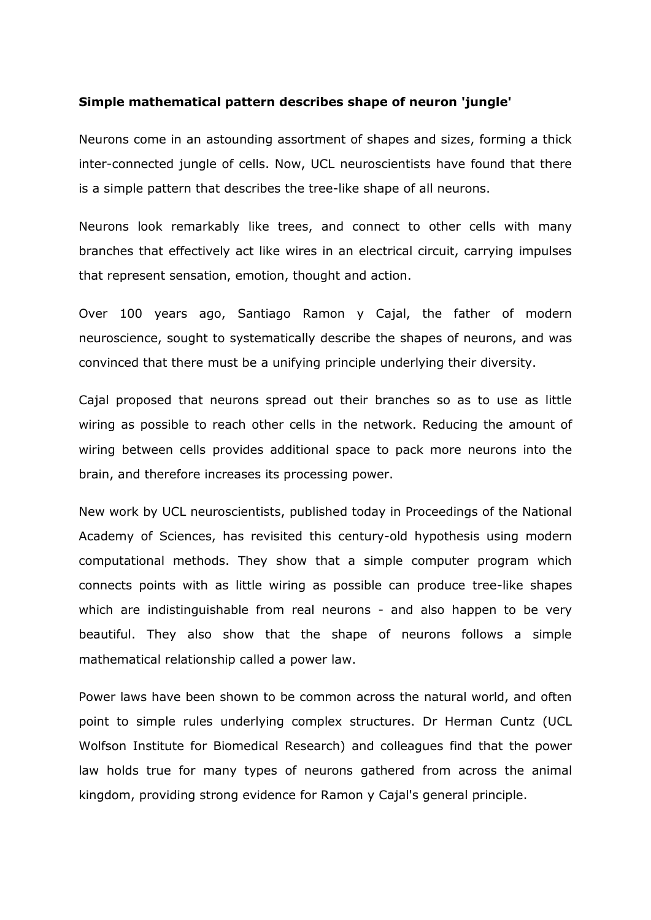## **Simple mathematical pattern describes shape of neuron 'jungle'**

Neurons come in an astounding assortment of shapes and sizes, forming a thick inter-connected jungle of cells. Now, UCL neuroscientists have found that there is a simple pattern that describes the tree-like shape of all neurons.

Neurons look remarkably like trees, and connect to other cells with many branches that effectively act like wires in an electrical circuit, carrying impulses that represent sensation, emotion, thought and action.

Over 100 years ago, Santiago Ramon y Cajal, the father of modern neuroscience, sought to systematically describe the shapes of neurons, and was convinced that there must be a unifying principle underlying their diversity.

Cajal proposed that neurons spread out their branches so as to use as little wiring as possible to reach other cells in the network. Reducing the amount of wiring between cells provides additional space to pack more neurons into the brain, and therefore increases its processing power.

New work by UCL neuroscientists, published today in Proceedings of the National Academy of Sciences, has revisited this century-old hypothesis using modern computational methods. They show that a simple computer program which connects points with as little wiring as possible can produce tree-like shapes which are indistinguishable from real neurons - and also happen to be very beautiful. They also show that the shape of neurons follows a simple mathematical relationship called a power law.

Power laws have been shown to be common across the natural world, and often point to simple rules underlying complex structures. Dr Herman Cuntz (UCL Wolfson Institute for Biomedical Research) and colleagues find that the power law holds true for many types of neurons gathered from across the animal kingdom, providing strong evidence for Ramon y Cajal's general principle.